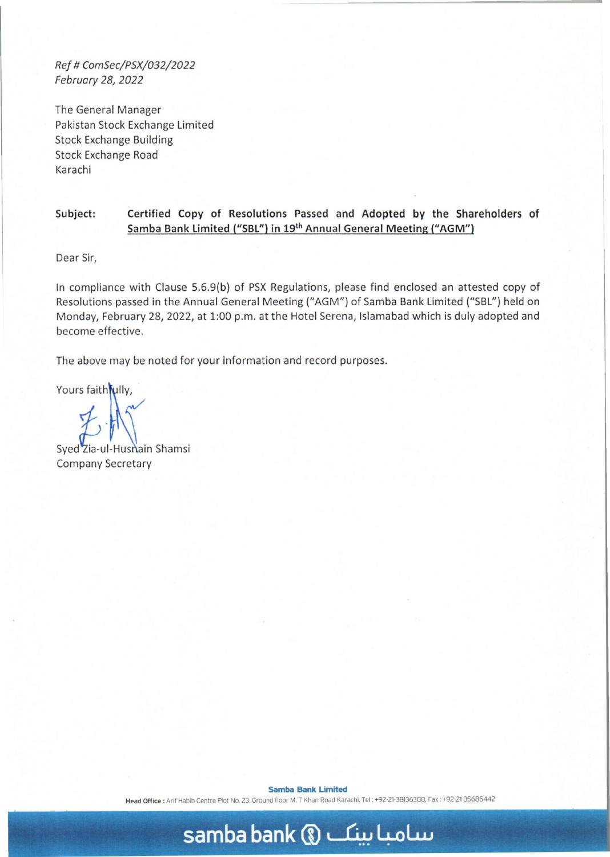*Ref* # *ComSec/PSX/032/2022 February* 28, *2022* 

The General Manager Pakistan Stock Exchange Limited Stock Exchange Building Stock Exchange Road Karachi

## Subject: Certified Copy of Resolutions Passed and Adopted by the Shareholders of Samba Bank Limited ("SBL") in 19<sup>th</sup> Annual General Meeting ("AGM")

Dear Sir,

In compliance with Clause 5.6.9(b) of PSX Regulations, please find enclosed an attested copy of Resolutions passed in the Annual General Meeting ("AGM") of Samba Bank Limited ("SBL") held on Monday, February 28, 2022, at 1:00 p.m. at the Hotel Serena, Islamabad which is duly adopted and become effective.

The above may be noted for your information and record purposes.

Yours faith fully,

Syed Zia-ul-Hushain Shamsi Company Secretary

Samba Bank Limited

Head Office: Arif Habib Centre Plot No. 23, Ground floor M. T Khan Road Karachi. Tel: +92-21-38136300, Fax: +92-21-35685442

## **samba bank** (U ~ 4-oLw